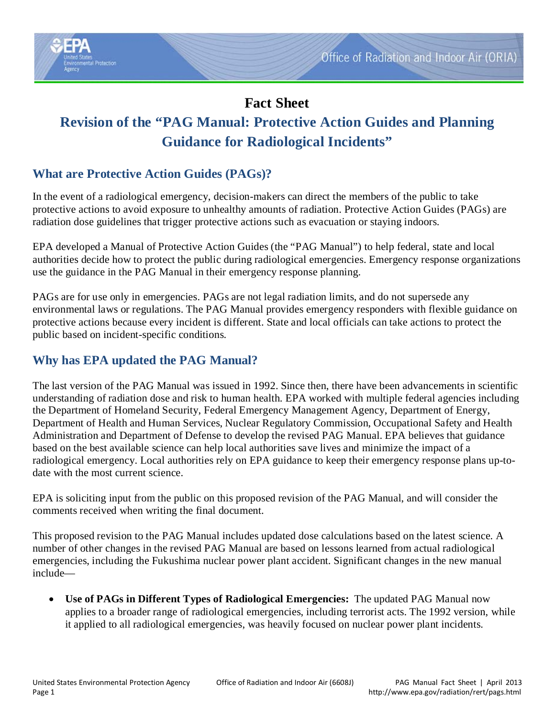

# **Fact Sheet Revision of the "PAG Manual: Protective Action Guides and Planning Guidance for Radiological Incidents"**

# **What are Protective Action Guides (PAGs)?**

In the event of a radiological emergency, decision-makers can direct the members of the public to take protective actions to avoid exposure to unhealthy amounts of radiation. Protective Action Guides (PAGs) are radiation dose guidelines that trigger protective actions such as evacuation or staying indoors.

EPA developed a Manual of Protective Action Guides (the "PAG Manual") to help federal, state and local authorities decide how to protect the public during radiological emergencies. Emergency response organizations use the guidance in the PAG Manual in their emergency response planning.

PAGs are for use only in emergencies. PAGs are not legal radiation limits, and do not supersede any environmental laws or regulations. The PAG Manual provides emergency responders with flexible guidance on protective actions because every incident is different. State and local officials can take actions to protect the public based on incident-specific conditions.

## **Why has EPA updated the PAG Manual?**

The last version of the PAG Manual was issued in 1992. Since then, there have been advancements in scientific understanding of radiation dose and risk to human health. EPA worked with multiple federal agencies including the Department of Homeland Security, Federal Emergency Management Agency, Department of Energy, Department of Health and Human Services, Nuclear Regulatory Commission, Occupational Safety and Health Administration and Department of Defense to develop the revised PAG Manual. EPA believes that guidance based on the best available science can help local authorities save lives and minimize the impact of a radiological emergency. Local authorities rely on EPA guidance to keep their emergency response plans up-todate with the most current science.

EPA is soliciting input from the public on this proposed revision of the PAG Manual, and will consider the comments received when writing the final document.

This proposed revision to the PAG Manual includes updated dose calculations based on the latest science. A number of other changes in the revised PAG Manual are based on lessons learned from actual radiological emergencies, including the Fukushima nuclear power plant accident. Significant changes in the new manual include—

• **Use of PAGs in Different Types of Radiological Emergencies:** The updated PAG Manual now applies to a broader range of radiological emergencies, including terrorist acts. The 1992 version, while it applied to all radiological emergencies, was heavily focused on nuclear power plant incidents.